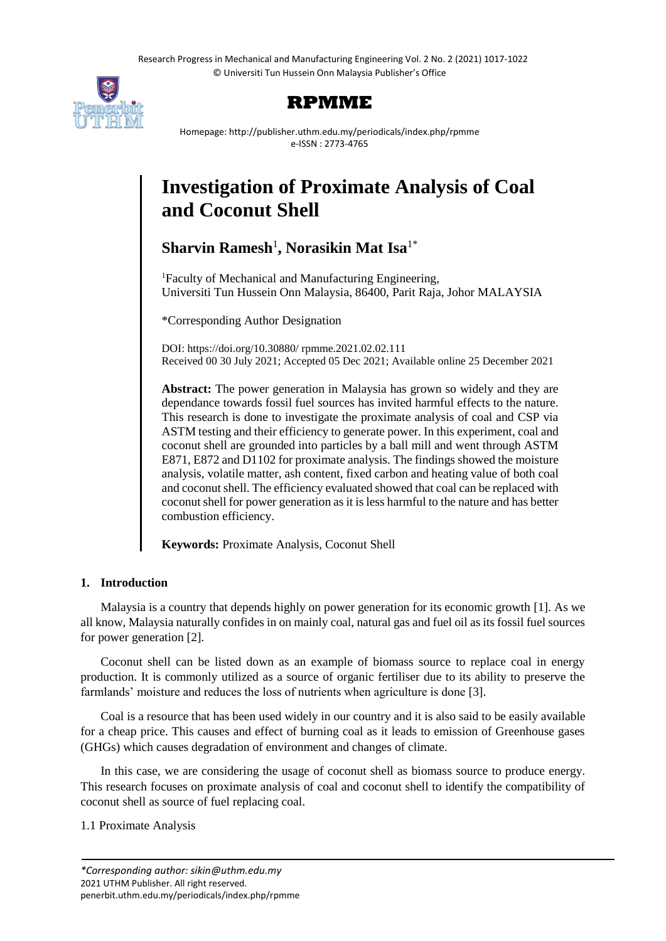Research Progress in Mechanical and Manufacturing Engineering Vol. 2 No. 2 (2021) 1017-1022 © Universiti Tun Hussein Onn Malaysia Publisher's Office





Homepage: http://publisher.uthm.edu.my/periodicals/index.php/rpmme e-ISSN : 2773-4765

# **Investigation of Proximate Analysis of Coal and Coconut Shell**

**Sharvin Ramesh**<sup>1</sup> **, Norasikin Mat Isa**1\*

<sup>1</sup>Faculty of Mechanical and Manufacturing Engineering, Universiti Tun Hussein Onn Malaysia, 86400, Parit Raja, Johor MALAYSIA

\*Corresponding Author Designation

DOI: https://doi.org/10.30880/ rpmme.2021.02.02.111 Received 00 30 July 2021; Accepted 05 Dec 2021; Available online 25 December 2021

**Abstract:** The power generation in Malaysia has grown so widely and they are dependance towards fossil fuel sources has invited harmful effects to the nature. This research is done to investigate the proximate analysis of coal and CSP via ASTM testing and their efficiency to generate power. In this experiment, coal and coconut shell are grounded into particles by a ball mill and went through ASTM E871, E872 and D1102 for proximate analysis. The findings showed the moisture analysis, volatile matter, ash content, fixed carbon and heating value of both coal and coconut shell. The efficiency evaluated showed that coal can be replaced with coconut shell for power generation as it is less harmful to the nature and has better combustion efficiency.

**Keywords:** Proximate Analysis, Coconut Shell

# **1. Introduction**

Malaysia is a country that depends highly on power generation for its economic growth [1]. As we all know, Malaysia naturally confides in on mainly coal, natural gas and fuel oil as its fossil fuel sources for power generation [2].

Coconut shell can be listed down as an example of biomass source to replace coal in energy production. It is commonly utilized as a source of organic fertiliser due to its ability to preserve the farmlands' moisture and reduces the loss of nutrients when agriculture is done [3].

Coal is a resource that has been used widely in our country and it is also said to be easily available for a cheap price. This causes and effect of burning coal as it leads to emission of Greenhouse gases (GHGs) which causes degradation of environment and changes of climate.

In this case, we are considering the usage of coconut shell as biomass source to produce energy. This research focuses on proximate analysis of coal and coconut shell to identify the compatibility of coconut shell as source of fuel replacing coal.

1.1 Proximate Analysis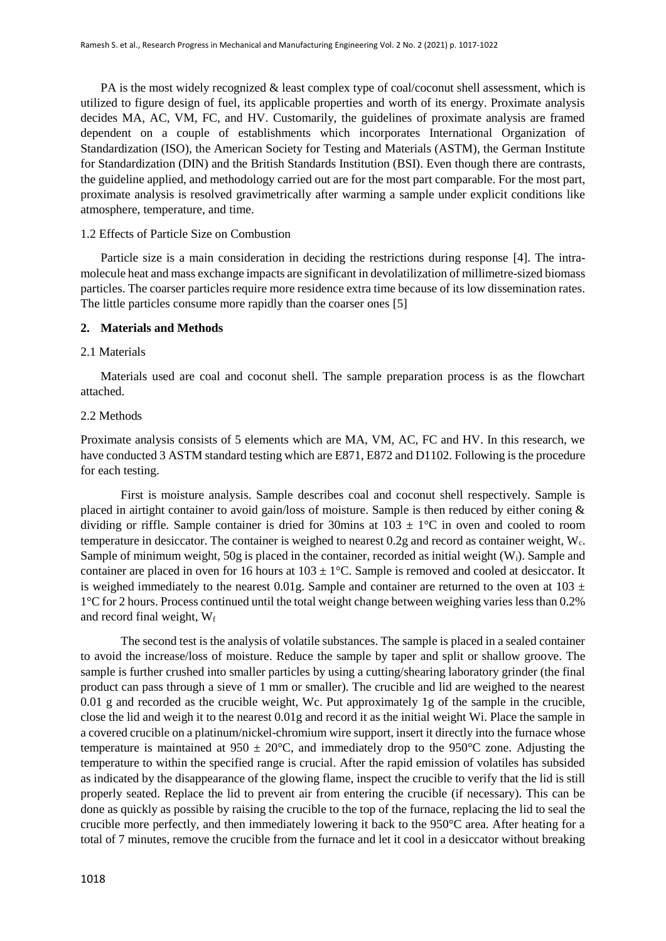PA is the most widely recognized & least complex type of coal/coconut shell assessment, which is utilized to figure design of fuel, its applicable properties and worth of its energy. Proximate analysis decides MA, AC, VM, FC, and HV. Customarily, the guidelines of proximate analysis are framed dependent on a couple of establishments which incorporates International Organization of Standardization (ISO), the American Society for Testing and Materials (ASTM), the German Institute for Standardization (DIN) and the British Standards Institution (BSI). Even though there are contrasts, the guideline applied, and methodology carried out are for the most part comparable. For the most part, proximate analysis is resolved gravimetrically after warming a sample under explicit conditions like atmosphere, temperature, and time.

#### 1.2 Effects of Particle Size on Combustion

Particle size is a main consideration in deciding the restrictions during response [4]. The intramolecule heat and mass exchange impacts are significant in devolatilization of millimetre-sized biomass particles. The coarser particles require more residence extra time because of its low dissemination rates. The little particles consume more rapidly than the coarser ones [5]

## **2. Materials and Methods**

#### 2.1 Materials

Materials used are coal and coconut shell. The sample preparation process is as the flowchart attached.

## 2.2 Methods

Proximate analysis consists of 5 elements which are MA, VM, AC, FC and HV. In this research, we have conducted 3 ASTM standard testing which are E871, E872 and D1102. Following is the procedure for each testing.

First is moisture analysis. Sample describes coal and coconut shell respectively. Sample is placed in airtight container to avoid gain/loss of moisture. Sample is then reduced by either coning & dividing or riffle. Sample container is dried for 30mins at  $103 \pm 1$ °C in oven and cooled to room temperature in desiccator. The container is weighed to nearest 0.2g and record as container weight, Wc. Sample of minimum weight, 50g is placed in the container, recorded as initial weight (W<sub>i</sub>). Sample and container are placed in oven for 16 hours at  $103 \pm 1^{\circ}$ C. Sample is removed and cooled at desiccator. It is weighed immediately to the nearest 0.01g. Sample and container are returned to the oven at  $103 \pm$ 1°C for 2 hours. Process continued until the total weight change between weighing varies less than 0.2% and record final weight,  $W_f$ 

The second test is the analysis of volatile substances. The sample is placed in a sealed container to avoid the increase/loss of moisture. Reduce the sample by taper and split or shallow groove. The sample is further crushed into smaller particles by using a cutting/shearing laboratory grinder (the final product can pass through a sieve of 1 mm or smaller). The crucible and lid are weighed to the nearest 0.01 g and recorded as the crucible weight, Wc. Put approximately 1g of the sample in the crucible, close the lid and weigh it to the nearest 0.01g and record it as the initial weight Wi. Place the sample in a covered crucible on a platinum/nickel-chromium wire support, insert it directly into the furnace whose temperature is maintained at  $950 \pm 20^{\circ}$ C, and immediately drop to the  $950^{\circ}$ C zone. Adjusting the temperature to within the specified range is crucial. After the rapid emission of volatiles has subsided as indicated by the disappearance of the glowing flame, inspect the crucible to verify that the lid is still properly seated. Replace the lid to prevent air from entering the crucible (if necessary). This can be done as quickly as possible by raising the crucible to the top of the furnace, replacing the lid to seal the crucible more perfectly, and then immediately lowering it back to the 950°C area. After heating for a total of 7 minutes, remove the crucible from the furnace and let it cool in a desiccator without breaking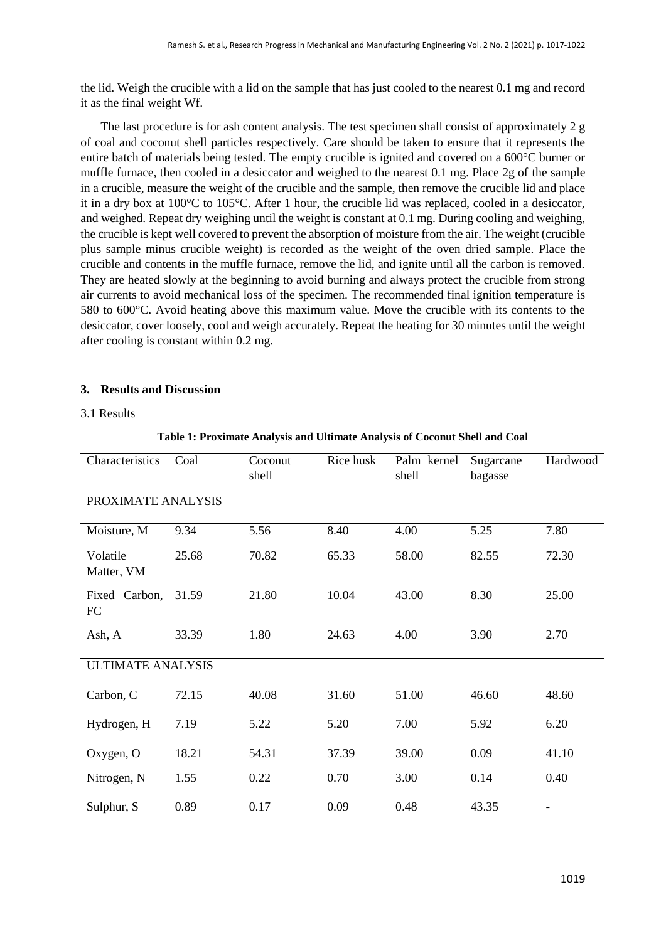the lid. Weigh the crucible with a lid on the sample that has just cooled to the nearest 0.1 mg and record it as the final weight Wf.

The last procedure is for ash content analysis. The test specimen shall consist of approximately 2 g of coal and coconut shell particles respectively. Care should be taken to ensure that it represents the entire batch of materials being tested. The empty crucible is ignited and covered on a 600°C burner or muffle furnace, then cooled in a desiccator and weighed to the nearest 0.1 mg. Place 2g of the sample in a crucible, measure the weight of the crucible and the sample, then remove the crucible lid and place it in a dry box at 100°C to 105°C. After 1 hour, the crucible lid was replaced, cooled in a desiccator, and weighed. Repeat dry weighing until the weight is constant at 0.1 mg. During cooling and weighing, the crucible is kept well covered to prevent the absorption of moisture from the air. The weight (crucible plus sample minus crucible weight) is recorded as the weight of the oven dried sample. Place the crucible and contents in the muffle furnace, remove the lid, and ignite until all the carbon is removed. They are heated slowly at the beginning to avoid burning and always protect the crucible from strong air currents to avoid mechanical loss of the specimen. The recommended final ignition temperature is 580 to 600°C. Avoid heating above this maximum value. Move the crucible with its contents to the desiccator, cover loosely, cool and weigh accurately. Repeat the heating for 30 minutes until the weight after cooling is constant within 0.2 mg.

## **3. Results and Discussion**

#### 3.1 Results

| Characteristics          | Coal  | Coconut<br>shell | Rice husk | Palm kernel<br>shell | Sugarcane<br>bagasse | Hardwood |  |  |  |  |  |  |
|--------------------------|-------|------------------|-----------|----------------------|----------------------|----------|--|--|--|--|--|--|
| PROXIMATE ANALYSIS       |       |                  |           |                      |                      |          |  |  |  |  |  |  |
| Moisture, M              | 9.34  | 5.56             | 8.40      | 4.00                 | 5.25                 | 7.80     |  |  |  |  |  |  |
| Volatile<br>Matter, VM   | 25.68 | 70.82            | 65.33     | 58.00                | 82.55                | 72.30    |  |  |  |  |  |  |
| Fixed Carbon,<br>FC      | 31.59 | 21.80            | 10.04     | 43.00                | 8.30                 | 25.00    |  |  |  |  |  |  |
| Ash, A                   | 33.39 | 1.80             | 24.63     | 4.00                 | 3.90                 | 2.70     |  |  |  |  |  |  |
| <b>ULTIMATE ANALYSIS</b> |       |                  |           |                      |                      |          |  |  |  |  |  |  |
| Carbon, C                | 72.15 | 40.08            | 31.60     | 51.00                | 46.60                | 48.60    |  |  |  |  |  |  |
| Hydrogen, H              | 7.19  | 5.22             | 5.20      | 7.00                 | 5.92                 | 6.20     |  |  |  |  |  |  |
| Oxygen, O                | 18.21 | 54.31            | 37.39     | 39.00                | 0.09                 | 41.10    |  |  |  |  |  |  |
| Nitrogen, N              | 1.55  | 0.22             | 0.70      | 3.00                 | 0.14                 | 0.40     |  |  |  |  |  |  |
| Sulphur, S               | 0.89  | 0.17             | 0.09      | 0.48                 | 43.35                |          |  |  |  |  |  |  |

**Table 1: Proximate Analysis and Ultimate Analysis of Coconut Shell and Coal**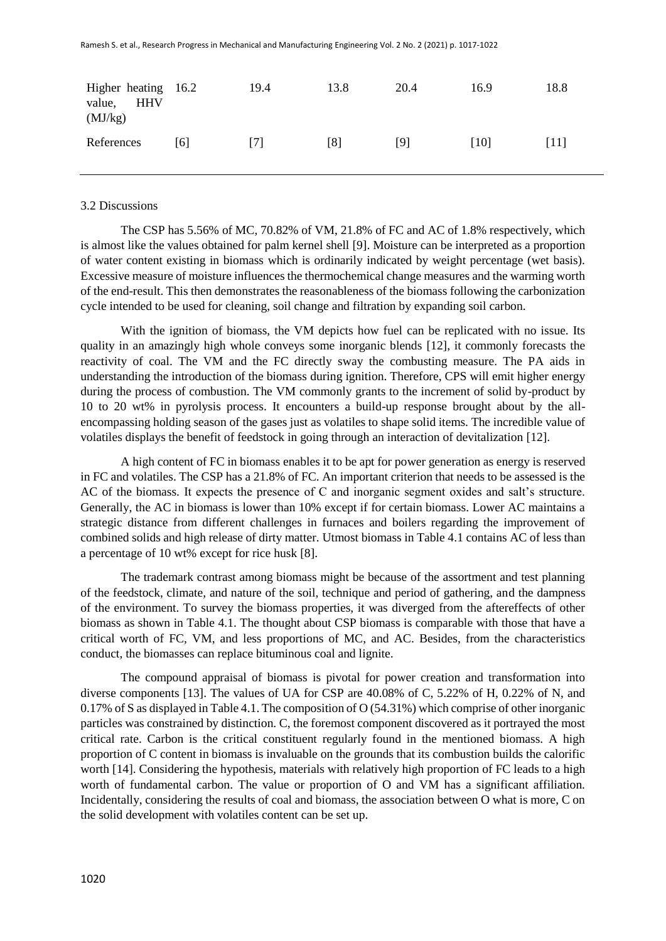| Higher heating 16.2<br><b>HHV</b><br>value,<br>(MJ/kg) |     | 19.4 | 13.8 | 20.4 | 16.9 | 18.8 |
|--------------------------------------------------------|-----|------|------|------|------|------|
| References                                             | [6] | [7]  | [8]  | [9]  | [10] | [11] |

#### 3.2 Discussions

The CSP has 5.56% of MC, 70.82% of VM, 21.8% of FC and AC of 1.8% respectively, which is almost like the values obtained for palm kernel shell [9]. Moisture can be interpreted as a proportion of water content existing in biomass which is ordinarily indicated by weight percentage (wet basis). Excessive measure of moisture influences the thermochemical change measures and the warming worth of the end-result. This then demonstrates the reasonableness of the biomass following the carbonization cycle intended to be used for cleaning, soil change and filtration by expanding soil carbon.

With the ignition of biomass, the VM depicts how fuel can be replicated with no issue. Its quality in an amazingly high whole conveys some inorganic blends [12], it commonly forecasts the reactivity of coal. The VM and the FC directly sway the combusting measure. The PA aids in understanding the introduction of the biomass during ignition. Therefore, CPS will emit higher energy during the process of combustion. The VM commonly grants to the increment of solid by-product by 10 to 20 wt% in pyrolysis process. It encounters a build-up response brought about by the allencompassing holding season of the gases just as volatiles to shape solid items. The incredible value of volatiles displays the benefit of feedstock in going through an interaction of devitalization [12].

A high content of FC in biomass enables it to be apt for power generation as energy is reserved in FC and volatiles. The CSP has a 21.8% of FC. An important criterion that needs to be assessed is the AC of the biomass. It expects the presence of C and inorganic segment oxides and salt's structure. Generally, the AC in biomass is lower than 10% except if for certain biomass. Lower AC maintains a strategic distance from different challenges in furnaces and boilers regarding the improvement of combined solids and high release of dirty matter. Utmost biomass in Table 4.1 contains AC of less than a percentage of 10 wt% except for rice husk [8].

The trademark contrast among biomass might be because of the assortment and test planning of the feedstock, climate, and nature of the soil, technique and period of gathering, and the dampness of the environment. To survey the biomass properties, it was diverged from the aftereffects of other biomass as shown in Table 4.1. The thought about CSP biomass is comparable with those that have a critical worth of FC, VM, and less proportions of MC, and AC. Besides, from the characteristics conduct, the biomasses can replace bituminous coal and lignite.

The compound appraisal of biomass is pivotal for power creation and transformation into diverse components [13]. The values of UA for CSP are 40.08% of C, 5.22% of H, 0.22% of N, and 0.17% of S as displayed in Table 4.1. The composition of O (54.31%) which comprise of other inorganic particles was constrained by distinction. C, the foremost component discovered as it portrayed the most critical rate. Carbon is the critical constituent regularly found in the mentioned biomass. A high proportion of C content in biomass is invaluable on the grounds that its combustion builds the calorific worth [14]. Considering the hypothesis, materials with relatively high proportion of FC leads to a high worth of fundamental carbon. The value or proportion of O and VM has a significant affiliation. Incidentally, considering the results of coal and biomass, the association between O what is more, C on the solid development with volatiles content can be set up.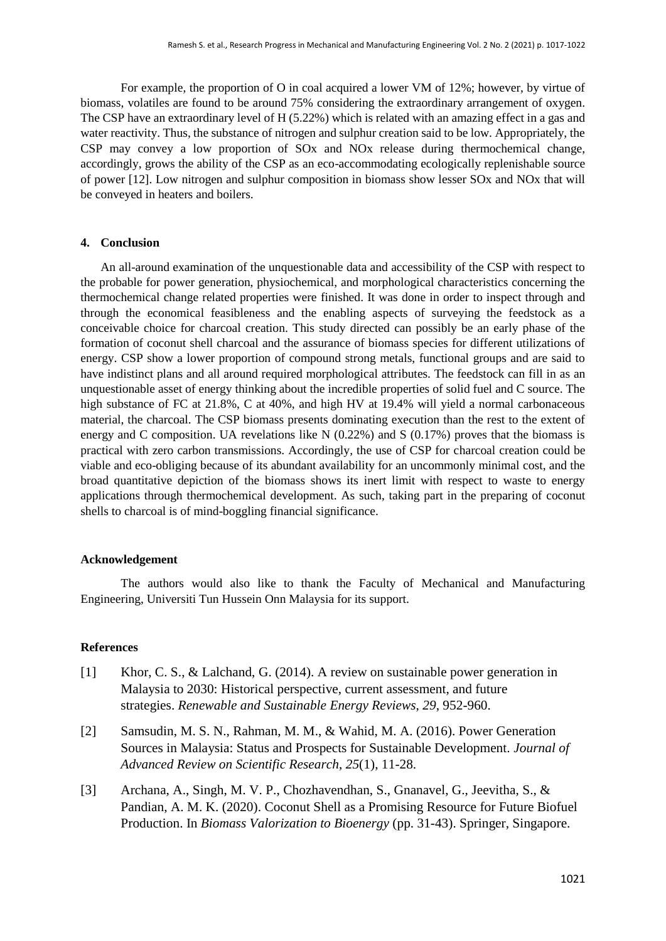For example, the proportion of O in coal acquired a lower VM of 12%; however, by virtue of biomass, volatiles are found to be around 75% considering the extraordinary arrangement of oxygen. The CSP have an extraordinary level of H (5.22%) which is related with an amazing effect in a gas and water reactivity. Thus, the substance of nitrogen and sulphur creation said to be low. Appropriately, the CSP may convey a low proportion of SOx and NOx release during thermochemical change, accordingly, grows the ability of the CSP as an eco-accommodating ecologically replenishable source of power [12]. Low nitrogen and sulphur composition in biomass show lesser SOx and NOx that will be conveyed in heaters and boilers.

# **4. Conclusion**

An all-around examination of the unquestionable data and accessibility of the CSP with respect to the probable for power generation, physiochemical, and morphological characteristics concerning the thermochemical change related properties were finished. It was done in order to inspect through and through the economical feasibleness and the enabling aspects of surveying the feedstock as a conceivable choice for charcoal creation. This study directed can possibly be an early phase of the formation of coconut shell charcoal and the assurance of biomass species for different utilizations of energy. CSP show a lower proportion of compound strong metals, functional groups and are said to have indistinct plans and all around required morphological attributes. The feedstock can fill in as an unquestionable asset of energy thinking about the incredible properties of solid fuel and C source. The high substance of FC at 21.8%, C at 40%, and high HV at 19.4% will yield a normal carbonaceous material, the charcoal. The CSP biomass presents dominating execution than the rest to the extent of energy and C composition. UA revelations like N (0.22%) and S (0.17%) proves that the biomass is practical with zero carbon transmissions. Accordingly, the use of CSP for charcoal creation could be viable and eco-obliging because of its abundant availability for an uncommonly minimal cost, and the broad quantitative depiction of the biomass shows its inert limit with respect to waste to energy applications through thermochemical development. As such, taking part in the preparing of coconut shells to charcoal is of mind-boggling financial significance.

## **Acknowledgement**

The authors would also like to thank the Faculty of Mechanical and Manufacturing Engineering, Universiti Tun Hussein Onn Malaysia for its support.

#### **References**

- [1] Khor, C. S., & Lalchand, G. (2014). A review on sustainable power generation in Malaysia to 2030: Historical perspective, current assessment, and future strategies. *Renewable and Sustainable Energy Reviews*, *29*, 952-960.
- [2] Samsudin, M. S. N., Rahman, M. M., & Wahid, M. A. (2016). Power Generation Sources in Malaysia: Status and Prospects for Sustainable Development. *Journal of Advanced Review on Scientific Research*, *25*(1), 11-28.
- [3] Archana, A., Singh, M. V. P., Chozhavendhan, S., Gnanavel, G., Jeevitha, S., & Pandian, A. M. K. (2020). Coconut Shell as a Promising Resource for Future Biofuel Production. In *Biomass Valorization to Bioenergy* (pp. 31-43). Springer, Singapore.